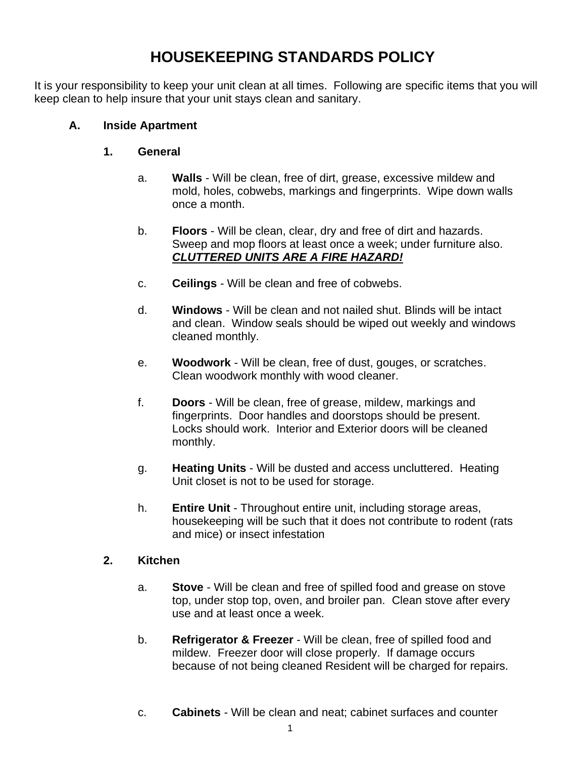## **HOUSEKEEPING STANDARDS POLICY**

It is your responsibility to keep your unit clean at all times. Following are specific items that you will keep clean to help insure that your unit stays clean and sanitary.

## **A. Inside Apartment**

## **1. General**

- a. **Walls** Will be clean, free of dirt, grease, excessive mildew and mold, holes, cobwebs, markings and fingerprints. Wipe down walls once a month.
- b. **Floors** Will be clean, clear, dry and free of dirt and hazards. Sweep and mop floors at least once a week; under furniture also. *CLUTTERED UNITS ARE A FIRE HAZARD!*
- c. **Ceilings** Will be clean and free of cobwebs.
- d. **Windows** Will be clean and not nailed shut. Blinds will be intact and clean. Window seals should be wiped out weekly and windows cleaned monthly.
- e. **Woodwork** Will be clean, free of dust, gouges, or scratches. Clean woodwork monthly with wood cleaner.
- f. **Doors** Will be clean, free of grease, mildew, markings and fingerprints. Door handles and doorstops should be present. Locks should work. Interior and Exterior doors will be cleaned monthly.
- g. **Heating Units** Will be dusted and access uncluttered. Heating Unit closet is not to be used for storage.
- h. **Entire Unit** Throughout entire unit, including storage areas, housekeeping will be such that it does not contribute to rodent (rats and mice) or insect infestation

#### **2. Kitchen**

- a. **Stove** Will be clean and free of spilled food and grease on stove top, under stop top, oven, and broiler pan. Clean stove after every use and at least once a week.
- b. **Refrigerator & Freezer** Will be clean, free of spilled food and mildew. Freezer door will close properly. If damage occurs because of not being cleaned Resident will be charged for repairs.
- c. **Cabinets** Will be clean and neat; cabinet surfaces and counter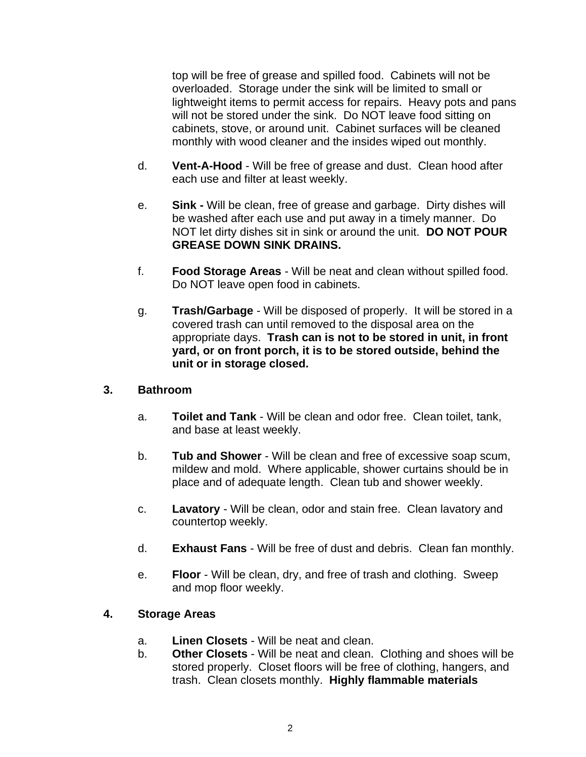top will be free of grease and spilled food. Cabinets will not be overloaded. Storage under the sink will be limited to small or lightweight items to permit access for repairs. Heavy pots and pans will not be stored under the sink. Do NOT leave food sitting on cabinets, stove, or around unit. Cabinet surfaces will be cleaned monthly with wood cleaner and the insides wiped out monthly.

- d. **Vent-A-Hood** Will be free of grease and dust. Clean hood after each use and filter at least weekly.
- e. **Sink -** Will be clean, free of grease and garbage. Dirty dishes will be washed after each use and put away in a timely manner. Do NOT let dirty dishes sit in sink or around the unit. **DO NOT POUR GREASE DOWN SINK DRAINS.**
- f. **Food Storage Areas** Will be neat and clean without spilled food. Do NOT leave open food in cabinets.
- g. **Trash/Garbage** Will be disposed of properly. It will be stored in a covered trash can until removed to the disposal area on the appropriate days. **Trash can is not to be stored in unit, in front yard, or on front porch, it is to be stored outside, behind the unit or in storage closed.**

#### **3. Bathroom**

- a. **Toilet and Tank** Will be clean and odor free. Clean toilet, tank, and base at least weekly.
- b. **Tub and Shower** Will be clean and free of excessive soap scum, mildew and mold. Where applicable, shower curtains should be in place and of adequate length. Clean tub and shower weekly.
- c. **Lavatory** Will be clean, odor and stain free. Clean lavatory and countertop weekly.
- d. **Exhaust Fans** Will be free of dust and debris. Clean fan monthly.
- e. **Floor** Will be clean, dry, and free of trash and clothing. Sweep and mop floor weekly.

#### **4. Storage Areas**

- a. **Linen Closets** Will be neat and clean.
- b. **Other Closets** Will be neat and clean. Clothing and shoes will be stored properly. Closet floors will be free of clothing, hangers, and trash. Clean closets monthly. **Highly flammable materials**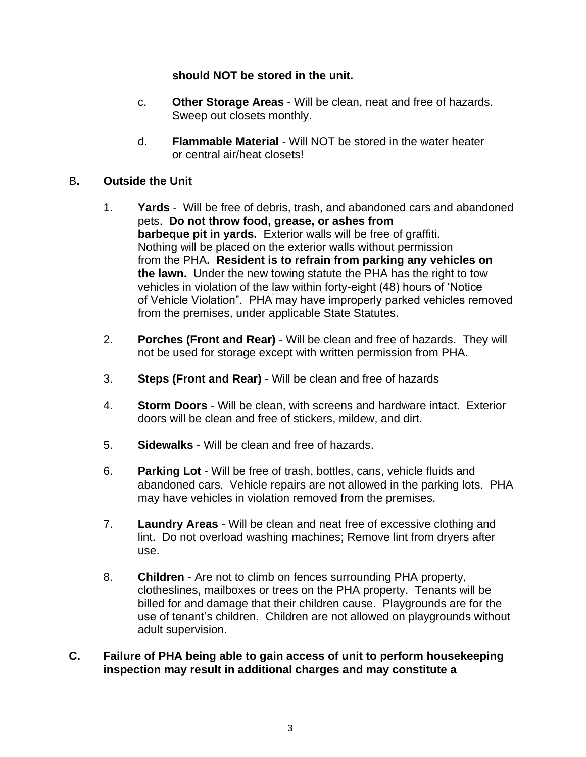## **should NOT be stored in the unit.**

- c. **Other Storage Areas** Will be clean, neat and free of hazards. Sweep out closets monthly.
- d. **Flammable Material** Will NOT be stored in the water heater or central air/heat closets!
- B**. Outside the Unit**
	- 1. **Yards** Will be free of debris, trash, and abandoned cars and abandoned pets. **Do not throw food, grease, or ashes from barbeque pit in yards.** Exterior walls will be free of graffiti. Nothing will be placed on the exterior walls without permission from the PHA**. Resident is to refrain from parking any vehicles on the lawn.** Under the new towing statute the PHA has the right to tow vehicles in violation of the law within forty-eight (48) hours of 'Notice of Vehicle Violation". PHA may have improperly parked vehicles removed from the premises, under applicable State Statutes.
	- 2. **Porches (Front and Rear)** Will be clean and free of hazards. They will not be used for storage except with written permission from PHA.
	- 3. **Steps (Front and Rear)** Will be clean and free of hazards
	- 4. **Storm Doors** Will be clean, with screens and hardware intact. Exterior doors will be clean and free of stickers, mildew, and dirt.
	- 5. **Sidewalks** Will be clean and free of hazards.
	- 6. **Parking Lot** Will be free of trash, bottles, cans, vehicle fluids and abandoned cars. Vehicle repairs are not allowed in the parking lots. PHA may have vehicles in violation removed from the premises.
	- 7. **Laundry Areas** Will be clean and neat free of excessive clothing and lint. Do not overload washing machines; Remove lint from dryers after use.
	- 8. **Children** Are not to climb on fences surrounding PHA property, clotheslines, mailboxes or trees on the PHA property. Tenants will be billed for and damage that their children cause. Playgrounds are for the use of tenant's children. Children are not allowed on playgrounds without adult supervision.

#### **C. Failure of PHA being able to gain access of unit to perform housekeeping inspection may result in additional charges and may constitute a**